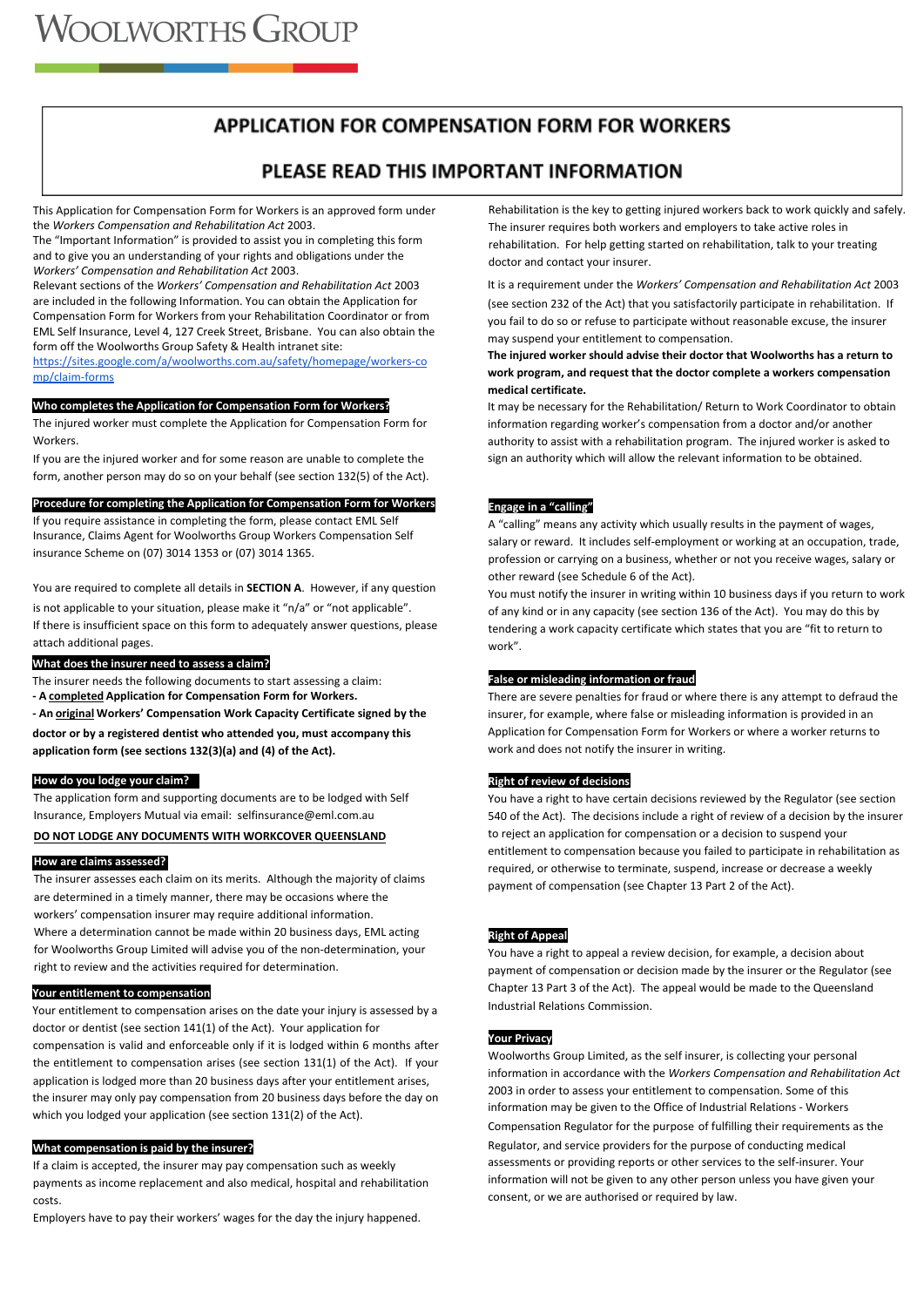# **APPLICATION FOR COMPENSATION FORM FOR WORKERS**

# **Getting back to work quickly and safely**

This Application for Compensation Form for Workers is an approved form under the *Workers Compensation and Rehabilitation Act* 2003.

The "Important Information" is provided to assist you in completing this form and to give you an understanding of your rights and obligations under the *Workers' Compensation and Rehabilitation Act* 2003.

Relevant sections of the *Workers' Compensation and Rehabilitation Act* 2003 are included in the following Information. You can obtain the Application for Compensation Form for Workers from your Rehabilitation Coordinator or from EML Self Insurance, Level 4, 127 Creek Street, Brisbane. You can also obtain the form off the Woolworths Group Safety & Health intranet site:

[https://sites.google.com/a/woolworths.com.au/safety/homepage/workers-co](https://sites.google.com/a/woolworths.com.au/safety/homepage/workers-comp/claim-forms) [mp/claim-forms](https://sites.google.com/a/woolworths.com.au/safety/homepage/workers-comp/claim-forms)

#### **Who completes the Application for Compensation Form for Workers?**

The injured worker must complete the Application for Compensation Form for **Workers** 

If you are the injured worker and for some reason are unable to complete the form, another person may do so on your behalf (see section 132(5) of the Act).

#### **Procedure for completing the Application for Compensation Form for Workers**

If you require assistance in completing the form, please contact EML Self Insurance, Claims Agent for Woolworths Group Workers Compensation Self insurance Scheme on (07) 3014 1353 or (07) 3014 1365.

You are required to complete all details in **SECTION A**. However, if any question is not applicable to your situation, please make it "n/a" or "not applicable". If there is insufficient space on this form to adequately answer questions, please attach additional pages.

#### **What does the insurer need to assess a claim?**

The insurer needs the following documents to start assessing a claim: **- A completed Application for Compensation Form for Workers.**

**- An original Workers' Compensation Work Capacity Certificate signed by the** 

**doctor or by a registered dentist who attended you, must accompany this** 

**application form (see sections 132(3)(a) and (4) of the Act).**

# **How do you lodge your claim?**

The application form and supporting documents are to be lodged with Self Insurance, Employers Mutual via email: selfinsurance@eml.com.au

## **DO NOT LODGE ANY DOCUMENTS WITH WORKCOVER QUEENSLAND**

#### **How are claims assessed?**

The insurer assesses each claim on its merits. Although the majority of claims are determined in a timely manner, there may be occasions where the workers' compensation insurer may require additional information. Where a determination cannot be made within 20 business days, EML acting for Woolworths Group Limited will advise you of the non-determination, your right to review and the activities required for determination.

#### ● **Your entitlement to compensation**

Your entitlement to compensation arises on the date your injury is assessed by a doctor or dentist (see section 141(1) of the Act). Your application for compensation is valid and enforceable only if it is lodged within 6 months after the entitlement to compensation arises (see section 131(1) of the Act). If your application is lodged more than 20 business days after your entitlement arises, the insurer may only pay compensation from 20 business days before the day on which you lodged your application (see section 131(2) of the Act).

#### **What compensation is paid by the insurer?**

If a claim is accepted, the insurer may pay compensation such as weekly payments as income replacement and also medical, hospital and rehabilitation costs.

Employers have to pay their workers' wages for the day the injury happened.

Rehabilitation is the key to getting injured workers back to work quickly and safely. The insurer requires both workers and employers to take active roles in rehabilitation. For help getting started on rehabilitation, talk to your treating doctor and contact your insurer.

It is a requirement under the *Workers' Compensation and Rehabilitation Act* 2003 (see section 232 of the Act) that you satisfactorily participate in rehabilitation. If you fail to do so or refuse to participate without reasonable excuse, the insurer may suspend your entitlement to compensation.

**The injured worker should advise their doctor that Woolworths has a return to work program, and request that the doctor complete a workers compensation medical certificate.**

It may be necessary for the Rehabilitation/ Return to Work Coordinator to obtain information regarding worker's compensation from a doctor and/or another authority to assist with a rehabilitation program. The injured worker is asked to sign an authority which will allow the relevant information to be obtained.

#### **Engage in a "calling"**

A "calling" means any activity which usually results in the payment of wages, salary or reward. It includes self-employment or working at an occupation, trade, profession or carrying on a business, whether or not you receive wages, salary or other reward (see Schedule 6 of the Act).

You must notify the insurer in writing within 10 business days if you return to work of any kind or in any capacity (see section 136 of the Act). You may do this by tendering a work capacity certificate which states that you are "fit to return to work".

#### **False or misleading information or fraud**

There are severe penalties for fraud or where there is any attempt to defraud the insurer, for example, where false or misleading information is provided in an Application for Compensation Form for Workers or where a worker returns to work and does not notify the insurer in writing.

#### **Right of review of decisions**

You have a right to have certain decisions reviewed by the Regulator (see section 540 of the Act). The decisions include a right of review of a decision by the insurer to reject an application for compensation or a decision to suspend your entitlement to compensation because you failed to participate in rehabilitation as required, or otherwise to terminate, suspend, increase or decrease a weekly payment of compensation (see Chapter 13 Part 2 of the Act).

#### **Right of Appeal**

You have a right to appeal a review decision, for example, a decision about payment of compensation or decision made by the insurer or the Regulator (see Chapter 13 Part 3 of the Act). The appeal would be made to the Queensland Industrial Relations Commission.

#### **Your Privacy**

Woolworths Group Limited, as the self insurer, is collecting your personal information in accordance with the *Workers Compensation and Rehabilitation Act* 2003 in order to assess your entitlement to compensation. Some of this information may be given to the Office of Industrial Relations - Workers Compensation Regulator for the purpose of fulfilling their requirements as the Regulator, and service providers for the purpose of conducting medical assessments or providing reports or other services to the self-insurer. Your information will not be given to any other person unless you have given your consent, or we are authorised or required by law.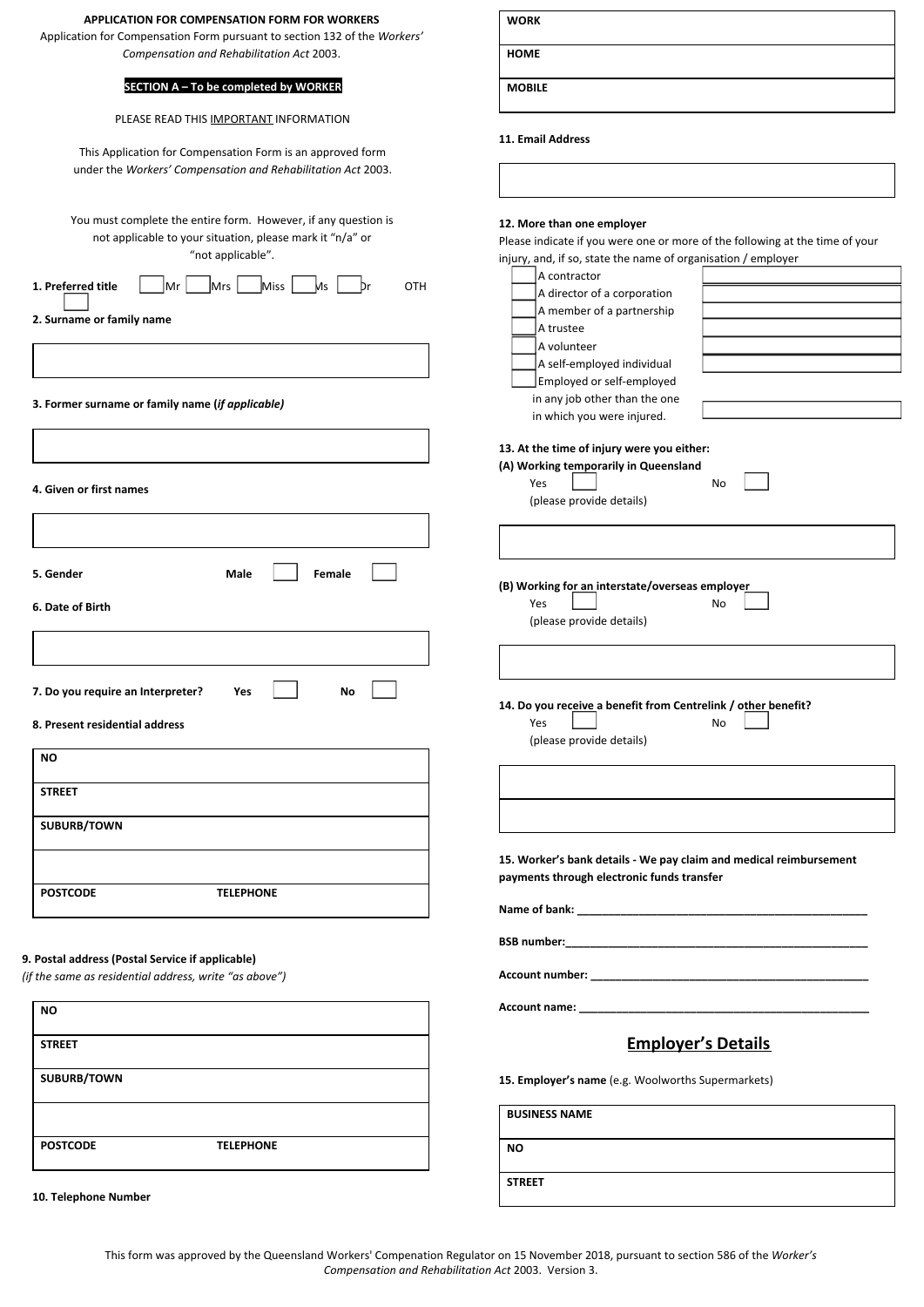| <b>APPLICATION FOR COMPENSATION FORM FOR WORKERS</b>                                                                                                                                                                                                                                       | <b>WORK</b>                                                                                                                                                                                                                                                                                                                                                                                                   |
|--------------------------------------------------------------------------------------------------------------------------------------------------------------------------------------------------------------------------------------------------------------------------------------------|---------------------------------------------------------------------------------------------------------------------------------------------------------------------------------------------------------------------------------------------------------------------------------------------------------------------------------------------------------------------------------------------------------------|
| Application for Compensation Form pursuant to section 132 of the Workers'<br>Compensation and Rehabilitation Act 2003.                                                                                                                                                                     | <b>HOME</b>                                                                                                                                                                                                                                                                                                                                                                                                   |
| SECTION A - To be completed by WORKER                                                                                                                                                                                                                                                      | <b>MOBILE</b>                                                                                                                                                                                                                                                                                                                                                                                                 |
| PLEASE READ THIS IMPORTANT INFORMATION<br>This Application for Compensation Form is an approved form                                                                                                                                                                                       | 11. Email Address                                                                                                                                                                                                                                                                                                                                                                                             |
| under the Workers' Compensation and Rehabilitation Act 2003.                                                                                                                                                                                                                               |                                                                                                                                                                                                                                                                                                                                                                                                               |
| You must complete the entire form. However, if any question is<br>not applicable to your situation, please mark it "n/a" or<br>"not applicable".<br>Miss<br>1. Preferred title<br> Mr<br>Mrs<br>OTH<br>Ms<br>2. Surname or family name<br>3. Former surname or family name (if applicable) | 12. More than one employer<br>Please indicate if you were one or more of the following at the time of your<br>injury, and, if so, state the name of organisation / employer<br>A contractor<br>A director of a corporation<br>A member of a partnership<br>A trustee<br>A volunteer<br>A self-employed individual<br>Employed or self-employed<br>in any job other than the one<br>in which you were injured. |
| 4. Given or first names                                                                                                                                                                                                                                                                    | 13. At the time of injury were you either:<br>(A) Working temporarily in Queensland<br>Yes<br>No<br>(please provide details)                                                                                                                                                                                                                                                                                  |
|                                                                                                                                                                                                                                                                                            |                                                                                                                                                                                                                                                                                                                                                                                                               |
| Female<br>5. Gender<br>Male<br>6. Date of Birth                                                                                                                                                                                                                                            | (B) Working for an interstate/overseas employer<br>Yes<br>No<br>(please provide details)                                                                                                                                                                                                                                                                                                                      |
| 7. Do you require an Interpreter?<br>Yes<br>No<br>8. Present residential address                                                                                                                                                                                                           | 14. Do you receive a benefit from Centrelink / other benefit?<br>No<br>Yes<br>(please provide details)                                                                                                                                                                                                                                                                                                        |
| <b>NO</b>                                                                                                                                                                                                                                                                                  |                                                                                                                                                                                                                                                                                                                                                                                                               |
| <b>STREET</b>                                                                                                                                                                                                                                                                              |                                                                                                                                                                                                                                                                                                                                                                                                               |
| SUBURB/TOWN                                                                                                                                                                                                                                                                                | 15. Worker's bank details - We pay claim and medical reimbursement                                                                                                                                                                                                                                                                                                                                            |
| <b>POSTCODE</b><br><b>TELEPHONE</b>                                                                                                                                                                                                                                                        | payments through electronic funds transfer                                                                                                                                                                                                                                                                                                                                                                    |
|                                                                                                                                                                                                                                                                                            |                                                                                                                                                                                                                                                                                                                                                                                                               |
| 9. Postal address (Postal Service if applicable)<br>(if the same as residential address, write "as above")                                                                                                                                                                                 |                                                                                                                                                                                                                                                                                                                                                                                                               |
| ΝO                                                                                                                                                                                                                                                                                         |                                                                                                                                                                                                                                                                                                                                                                                                               |
| <b>STREET</b>                                                                                                                                                                                                                                                                              | <b>Employer's Details</b>                                                                                                                                                                                                                                                                                                                                                                                     |
| SUBURB/TOWN                                                                                                                                                                                                                                                                                | 15. Employer's name (e.g. Woolworths Supermarkets)                                                                                                                                                                                                                                                                                                                                                            |
|                                                                                                                                                                                                                                                                                            | <b>BUSINESS NAME</b>                                                                                                                                                                                                                                                                                                                                                                                          |
| <b>POSTCODE</b><br><b>TELEPHONE</b>                                                                                                                                                                                                                                                        | NO.                                                                                                                                                                                                                                                                                                                                                                                                           |
| 10. Telephone Number                                                                                                                                                                                                                                                                       | <b>STREET</b>                                                                                                                                                                                                                                                                                                                                                                                                 |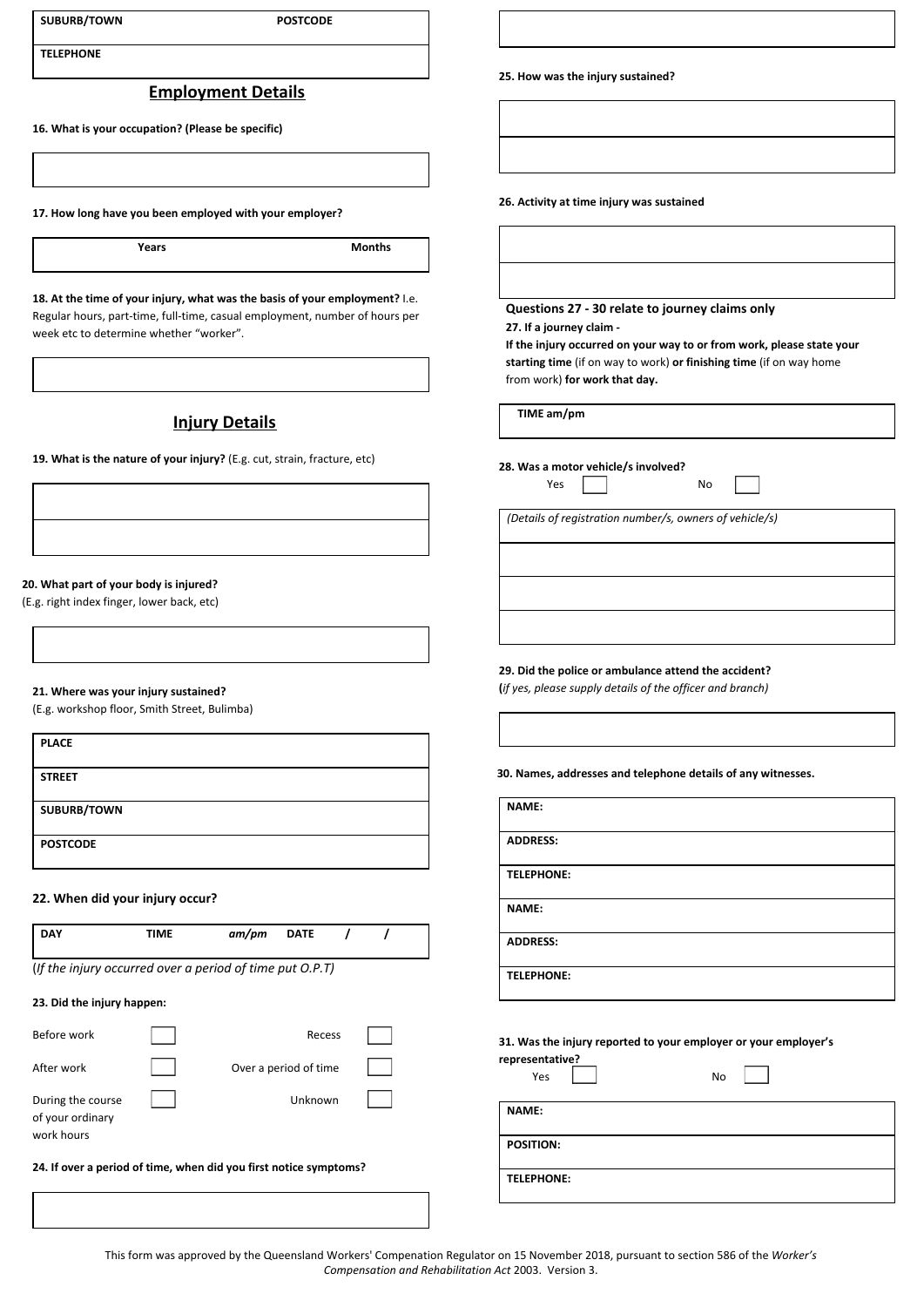| <b>SUBURB/TOWN</b> | <b>POSTCODE</b> |
|--------------------|-----------------|
|--------------------|-----------------|

**TELEPHONE** 

# **Employment Details**

**16. What is your occupation? (Please be specific)**

**17. How long have you been employed with your employer?**

**Years** Months

**18. At the time of your injury, what was the basis of your employment?** I.e. Regular hours, part-time, full-time, casual employment, number of hours per week etc to determine whether "worker".

# **Injury Details**

**19. What is the nature of your injury?** (E.g. cut, strain, fracture, etc)

#### **20. What part of your body is injured?**

(E.g. right index finger, lower back, etc)

#### **21. Where was your injury sustained?**

(E.g. workshop floor, Smith Street, Bulimba)

| <b>PLACE</b>    |  |
|-----------------|--|
| <b>STREET</b>   |  |
| SUBURB/TOWN     |  |
| <b>POSTCODE</b> |  |

## **22. When did your injury occur?**

| <b>DAY</b>                                                        | TIME | am/pm | <b>DATE</b>           |  |  |
|-------------------------------------------------------------------|------|-------|-----------------------|--|--|
| (If the injury occurred over a period of time put O.P.T)          |      |       |                       |  |  |
| 23. Did the injury happen:                                        |      |       |                       |  |  |
| Before work                                                       |      |       | Recess                |  |  |
| After work                                                        |      |       | Over a period of time |  |  |
| During the course<br>of your ordinary<br>work hours               |      |       | Unknown               |  |  |
| 24. If over a period of time, when did you first notice symptoms? |      |       |                       |  |  |

**25. How was the injury sustained?**

**26. Activity at time injury was sustained**

# **Questions 27 - 30 relate to journey claims only**

**27. If a journey claim -** 

**If the injury occurred on your way to or from work, please state your starting time** (if on way to work) **or finishing time** (if on way home from work) **for work that day.**

**TIME am/pm**

**28. Was a motor vehicle/s involved?** 

Yes <u>III</u> No

*(Details of registration number/s, owners of vehicle/s)*

**29. Did the police or ambulance attend the accident?** 

**(***if yes, please supply details of the officer and branch)*

**30. Names, addresses and telephone details of any witnesses.**

| NAME:             |  |
|-------------------|--|
|                   |  |
|                   |  |
| <b>ADDRESS:</b>   |  |
|                   |  |
|                   |  |
| <b>TELEPHONE:</b> |  |
|                   |  |
|                   |  |
| NAME:             |  |
|                   |  |
|                   |  |
| <b>ADDRESS:</b>   |  |
|                   |  |
|                   |  |
|                   |  |
| <b>TELEPHONE:</b> |  |
|                   |  |
|                   |  |

**31. Was the injury reported to your employer or your employer's** 

| representative?<br>Yes | <b>No</b> |
|------------------------|-----------|
| NAME:                  |           |
| <b>POSITION:</b>       |           |
| <b>TELEPHONE:</b>      |           |

This form was approved by the Queensland Workers' Compenation Regulator on 15 November 2018, pursuant to section 586 of the *Worker's Compensation and Rehabilitation Act* 2003. Version 3.